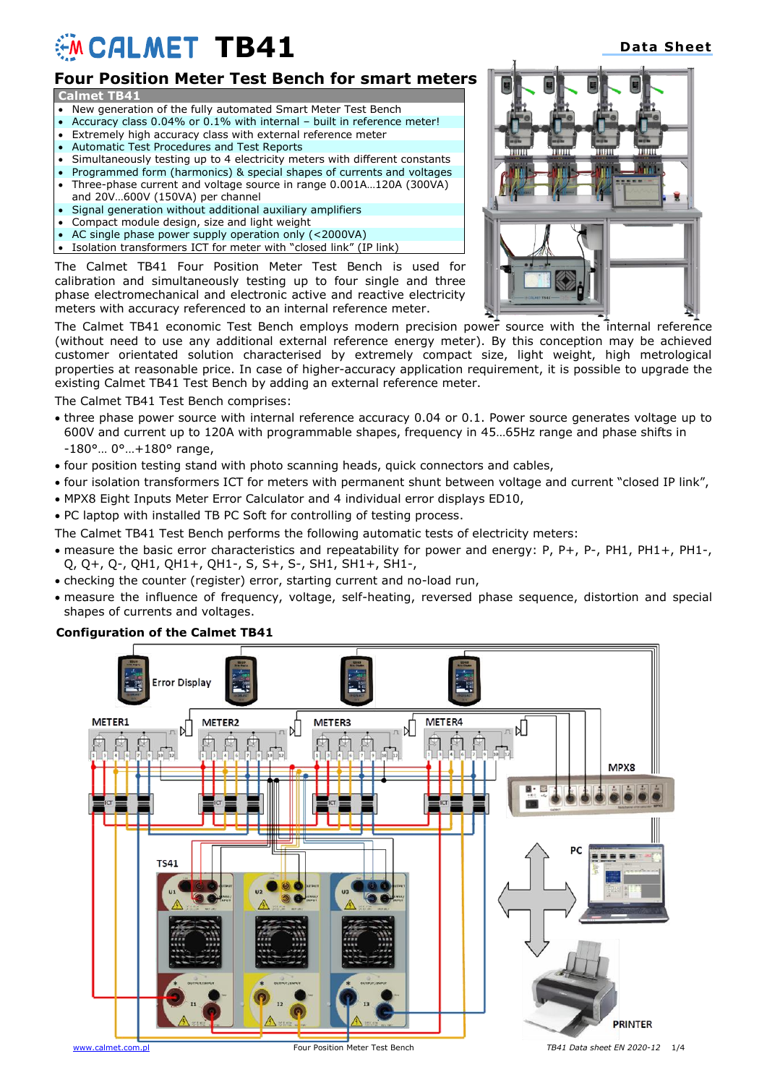# **EM CALMET TB41**

## **Four Position Meter Test Bench for smart meters**

#### **Calmet TB41**

- New generation of the fully automated Smart Meter Test Bench
- Accuracy class 0.04% or 0.1% with internal built in reference meter!
- Extremely high accuracy class with external reference meter
- Automatic Test Procedures and Test Reports
- Simultaneously testing up to 4 electricity meters with different constants
- Programmed form (harmonics) & special shapes of currents and voltages • Three-phase current and voltage source in range 0.001A…120A (300VA) and 20V…600V (150VA) per channel
- Signal generation without additional auxiliary amplifiers
- Compact module design, size and light weight
- AC single phase power supply operation only (<2000VA)
- Isolation transformers ICT for meter with "closed link" (IP link)

The Calmet TB41 Four Position Meter Test Bench is used for calibration and simultaneously testing up to four single and three phase electromechanical and electronic active and reactive electricity meters with accuracy referenced to an internal reference meter.

The Calmet TB41 economic Test Bench employs modern precision power source with the internal reference (without need to use any additional external reference energy meter). By this conception may be achieved customer orientated solution characterised by extremely compact size, light weight, high metrological properties at reasonable price. In case of higher-accuracy application requirement, it is possible to upgrade the existing Calmet TB41 Test Bench by adding an external reference meter.

The Calmet TB41 Test Bench comprises:

- three phase power source with internal reference accuracy 0.04 or 0.1. Power source generates voltage up to 600V and current up to 120A with programmable shapes, frequency in 45…65Hz range and phase shifts in  $-180^{\circ}$   $\ldots$  0°  $\ldots$  + 180° range,
- four position testing stand with photo scanning heads, quick connectors and cables,
- four isolation transformers ICT for meters with permanent shunt between voltage and current "closed IP link",
- MPX8 Eight Inputs Meter Error Calculator and 4 individual error displays ED10,
- PC laptop with installed TB PC Soft for controlling of testing process.

The Calmet TB41 Test Bench performs the following automatic tests of electricity meters:

- measure the basic error characteristics and repeatability for power and energy: P, P+, P-, PH1, PH1+, PH1-, Q, Q+, Q-, QH1, QH1+, QH1-, S, S+, S-, SH1, SH1+, SH1-,
- checking the counter (register) error, starting current and no-load run,
- measure the influence of frequency, voltage, self-heating, reversed phase sequence, distortion and special shapes of currents and voltages.

### **Configuration of the Calmet TB41**



[www.calmet.com.pl](http://www.calmet.com.pl/) **Four Position Meter Test Bench Four Position Meter Test Bench TB41** Data sheet EN 2020-12 1/4

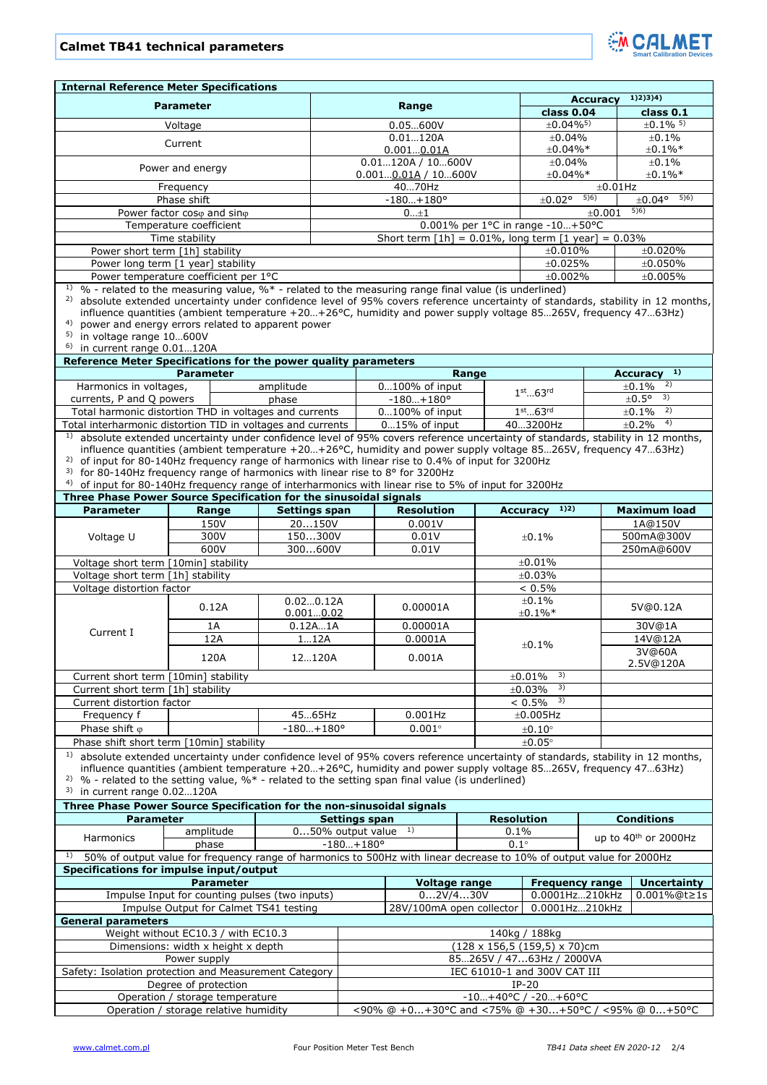

| <b>Internal Reference Meter Specifications</b>                                                                                                                                                                                                                                                                                                                                                                                                                                                                                                                                                    |                                          |                                         |                          |                                                                    |                    |                                  |          |                                  |  |
|---------------------------------------------------------------------------------------------------------------------------------------------------------------------------------------------------------------------------------------------------------------------------------------------------------------------------------------------------------------------------------------------------------------------------------------------------------------------------------------------------------------------------------------------------------------------------------------------------|------------------------------------------|-----------------------------------------|--------------------------|--------------------------------------------------------------------|--------------------|----------------------------------|----------|----------------------------------|--|
| <b>Parameter</b>                                                                                                                                                                                                                                                                                                                                                                                                                                                                                                                                                                                  |                                          | Range                                   |                          |                                                                    | <b>Accuracy</b>    |                                  | 1)2)3)4) |                                  |  |
|                                                                                                                                                                                                                                                                                                                                                                                                                                                                                                                                                                                                   |                                          |                                         |                          |                                                                    |                    | class 0.04                       |          | class 0.1                        |  |
| Voltage                                                                                                                                                                                                                                                                                                                                                                                                                                                                                                                                                                                           |                                          |                                         | 0.05600V                 |                                                                    |                    | $±0.04\%$ <sup>5)</sup>          |          | $±0.1\%$ <sup>5)</sup>           |  |
| Current                                                                                                                                                                                                                                                                                                                                                                                                                                                                                                                                                                                           |                                          |                                         | 0.01120A<br>0.0010.01A   |                                                                    |                    | ±0.04%<br>$±0.04\%*$             |          | $\pm 0.1\%$<br>$±0.1\%*$         |  |
|                                                                                                                                                                                                                                                                                                                                                                                                                                                                                                                                                                                                   |                                          |                                         | 0.01120A / 10600V        |                                                                    |                    | ±0.04%                           |          | $\pm 0.1\%$                      |  |
| Power and energy                                                                                                                                                                                                                                                                                                                                                                                                                                                                                                                                                                                  |                                          |                                         | 0.0010.01A / 10600V      |                                                                    |                    | $±0.04\%*$<br>$±0.1\%*$          |          |                                  |  |
| Frequency                                                                                                                                                                                                                                                                                                                                                                                                                                                                                                                                                                                         |                                          |                                         | 4070Hz                   |                                                                    |                    | $±0.01$ Hz                       |          |                                  |  |
| Phase shift                                                                                                                                                                                                                                                                                                                                                                                                                                                                                                                                                                                       |                                          |                                         | $-180+180^{\circ}$       |                                                                    |                    | 5)6)<br>$±0.04°$ 5)6)<br>±0.02°  |          |                                  |  |
| Power factor coso and sino                                                                                                                                                                                                                                                                                                                                                                                                                                                                                                                                                                        |                                          | $0 \pm 1$                               |                          | 5)6)<br>±0.001                                                     |                    |                                  |          |                                  |  |
| Temperature coefficient                                                                                                                                                                                                                                                                                                                                                                                                                                                                                                                                                                           | 0.001% per 1°C in range -10+50°C         |                                         |                          |                                                                    |                    |                                  |          |                                  |  |
| Time stability<br>Power short term [1h] stability                                                                                                                                                                                                                                                                                                                                                                                                                                                                                                                                                 |                                          |                                         |                          | Short term $[1h] = 0.01\%$ , long term $[1 \text{ year}] = 0.03\%$ |                    |                                  |          | ±0.020%                          |  |
| Power long term [1 year] stability                                                                                                                                                                                                                                                                                                                                                                                                                                                                                                                                                                |                                          |                                         |                          |                                                                    | ±0.010%<br>±0.025% |                                  | ±0.050%  |                                  |  |
|                                                                                                                                                                                                                                                                                                                                                                                                                                                                                                                                                                                                   |                                          |                                         |                          | ±0.002%                                                            |                    | ±0.005%                          |          |                                  |  |
| Power temperature coefficient per 1°C<br><sup>1)</sup> % - related to the measuring value, %* - related to the measuring range final value (is underlined)                                                                                                                                                                                                                                                                                                                                                                                                                                        |                                          |                                         |                          |                                                                    |                    |                                  |          |                                  |  |
| <sup>2)</sup> absolute extended uncertainty under confidence level of 95% covers reference uncertainty of standards, stability in 12 months,<br>influence quantities (ambient temperature +20+26°C, humidity and power supply voltage 85265V, frequency 4763Hz)<br>4)<br>power and energy errors related to apparent power<br>$5$ ) in voltage range 10600V<br>$6$ ) in current range $0.01120A$                                                                                                                                                                                                  |                                          |                                         |                          |                                                                    |                    |                                  |          |                                  |  |
| Reference Meter Specifications for the power quality parameters                                                                                                                                                                                                                                                                                                                                                                                                                                                                                                                                   |                                          |                                         |                          |                                                                    |                    |                                  |          |                                  |  |
| <b>Parameter</b>                                                                                                                                                                                                                                                                                                                                                                                                                                                                                                                                                                                  |                                          |                                         | Range                    |                                                                    |                    | Accuracy <sup>1)</sup>           |          |                                  |  |
| Harmonics in voltages,                                                                                                                                                                                                                                                                                                                                                                                                                                                                                                                                                                            |                                          | amplitude                               |                          | 0100% of input                                                     |                    | 1 <sup>st</sup> 63 <sup>rd</sup> |          | 2)<br>$\pm 0.1\%$                |  |
|                                                                                                                                                                                                                                                                                                                                                                                                                                                                                                                                                                                                   | currents, P and Q powers<br>phase        |                                         | $-180+180^{\circ}$       |                                                                    |                    |                                  |          | 3)<br>±0.5°                      |  |
| Total harmonic distortion THD in voltages and currents                                                                                                                                                                                                                                                                                                                                                                                                                                                                                                                                            |                                          |                                         | 0100% of input           |                                                                    |                    | $1^{st}$ 63 $rd$                 |          | 2)<br>$\pm 0.1\%$                |  |
| Total interharmonic distortion TID in voltages and currents                                                                                                                                                                                                                                                                                                                                                                                                                                                                                                                                       |                                          |                                         |                          | $015%$ of input                                                    |                    | 403200Hz                         |          | 4)<br>±0.2%                      |  |
| <sup>1)</sup> absolute extended uncertainty under confidence level of 95% covers reference uncertainty of standards, stability in 12 months,<br>influence quantities (ambient temperature +20+26°C, humidity and power supply voltage 85265V, frequency 4763Hz)<br><sup>2)</sup> of input for 80-140Hz frequency range of harmonics with linear rise to 0.4% of input for 3200Hz<br><sup>3)</sup> for 80-140Hz frequency range of harmonics with linear rise to 8° for 3200Hz<br><sup>4)</sup> of input for 80-140Hz frequency range of interharmonics with linear rise to 5% of input for 3200Hz |                                          |                                         |                          |                                                                    |                    |                                  |          |                                  |  |
| Three Phase Power Source Specification for the sinusoidal signals                                                                                                                                                                                                                                                                                                                                                                                                                                                                                                                                 |                                          |                                         |                          |                                                                    |                    |                                  |          |                                  |  |
| <b>Parameter</b>                                                                                                                                                                                                                                                                                                                                                                                                                                                                                                                                                                                  | Range                                    | <b>Settings span</b>                    |                          | <b>Resolution</b>                                                  |                    | 1)2)<br><b>Accuracy</b>          |          | <b>Maximum load</b>              |  |
| Voltage U                                                                                                                                                                                                                                                                                                                                                                                                                                                                                                                                                                                         | 150V                                     | 20150V                                  |                          | 0.001V                                                             |                    |                                  |          | 1A@150V                          |  |
|                                                                                                                                                                                                                                                                                                                                                                                                                                                                                                                                                                                                   | 300V                                     | 150300V                                 |                          | 0.01V                                                              |                    | ±0.1%                            |          | 500mA@300V                       |  |
| 600V<br>Voltage short term [10min] stability                                                                                                                                                                                                                                                                                                                                                                                                                                                                                                                                                      |                                          | 300600V                                 |                          | 0.01V                                                              |                    | ±0.01%                           |          | 250mA@600V                       |  |
|                                                                                                                                                                                                                                                                                                                                                                                                                                                                                                                                                                                                   |                                          |                                         | ±0.03%                   |                                                                    |                    |                                  |          |                                  |  |
| Voltage short term [1h] stability<br>Voltage distortion factor                                                                                                                                                                                                                                                                                                                                                                                                                                                                                                                                    |                                          |                                         |                          |                                                                    |                    | $< 0.5\%$                        |          |                                  |  |
| Current I                                                                                                                                                                                                                                                                                                                                                                                                                                                                                                                                                                                         |                                          | 0.020.12A                               |                          |                                                                    |                    |                                  |          |                                  |  |
|                                                                                                                                                                                                                                                                                                                                                                                                                                                                                                                                                                                                   | 0.12A                                    | 0.0010.02                               |                          | 0.00001A                                                           | ±0.1%              | $±0.1\%*$                        |          | 5V@0.12A                         |  |
|                                                                                                                                                                                                                                                                                                                                                                                                                                                                                                                                                                                                   | 1A                                       | 0.12A1A                                 |                          | 0.00001A                                                           |                    |                                  |          | 30V@1A                           |  |
|                                                                                                                                                                                                                                                                                                                                                                                                                                                                                                                                                                                                   | 12A                                      | 112A                                    |                          | 0.0001A                                                            |                    | ±0.1%<br>3)<br>$\pm 0.01\%$      |          | 14V@12A                          |  |
|                                                                                                                                                                                                                                                                                                                                                                                                                                                                                                                                                                                                   | 120A                                     | 12120A                                  |                          | 0.001A                                                             |                    |                                  |          | 3V@60A                           |  |
|                                                                                                                                                                                                                                                                                                                                                                                                                                                                                                                                                                                                   |                                          |                                         |                          |                                                                    |                    |                                  |          | 2.5V@120A                        |  |
| Current short term [10min] stability<br>Current short term [1h] stability                                                                                                                                                                                                                                                                                                                                                                                                                                                                                                                         |                                          |                                         |                          |                                                                    |                    | 3)<br>$\pm 0.03\%$               |          |                                  |  |
| Current distortion factor                                                                                                                                                                                                                                                                                                                                                                                                                                                                                                                                                                         |                                          |                                         |                          |                                                                    |                    | 3)<br>$< 0.5\%$                  |          |                                  |  |
| Frequency f                                                                                                                                                                                                                                                                                                                                                                                                                                                                                                                                                                                       |                                          |                                         | 4565Hz                   | $0.001$ Hz                                                         |                    | ±0.005Hz                         |          |                                  |  |
| Phase shift $\varphi$                                                                                                                                                                                                                                                                                                                                                                                                                                                                                                                                                                             |                                          | $-180+180^{\circ}$                      |                          | $0.001^{\circ}$                                                    |                    | ±0.10°                           |          |                                  |  |
|                                                                                                                                                                                                                                                                                                                                                                                                                                                                                                                                                                                                   | Phase shift short term [10min] stability |                                         |                          |                                                                    |                    |                                  |          |                                  |  |
| <sup>1)</sup> absolute extended uncertainty under confidence level of 95% covers reference uncertainty of standards, stability in 12 months,<br>influence quantities (ambient temperature +20+26°C, humidity and power supply voltage 85265V, frequency 4763Hz)<br><sup>2)</sup> % - related to the setting value, %* - related to the setting span final value (is underlined)<br>$3)$ in current range $0.02120A$<br>Three Phase Power Source Specification for the non-sinusoidal signals                                                                                                      |                                          |                                         |                          |                                                                    |                    |                                  |          |                                  |  |
| <b>Parameter</b>                                                                                                                                                                                                                                                                                                                                                                                                                                                                                                                                                                                  |                                          |                                         | <b>Settings span</b>     |                                                                    |                    | <b>Resolution</b>                |          | <b>Conditions</b>                |  |
| Harmonics<br>1)                                                                                                                                                                                                                                                                                                                                                                                                                                                                                                                                                                                   | amplitude<br>phase                       | 050% output value<br>$-180+180^{\circ}$ |                          | 1)                                                                 |                    | 0.1%<br>$0.1^\circ$              |          | up to 40 <sup>th</sup> or 2000Hz |  |
| 50% of output value for frequency range of harmonics to 500Hz with linear decrease to 10% of output value for 2000Hz<br>Specifications for impulse input/output                                                                                                                                                                                                                                                                                                                                                                                                                                   |                                          |                                         |                          |                                                                    |                    |                                  |          |                                  |  |
| <b>Parameter</b><br>Voltage range<br><b>Uncertainty</b><br><b>Frequency range</b>                                                                                                                                                                                                                                                                                                                                                                                                                                                                                                                 |                                          |                                         |                          |                                                                    |                    |                                  |          |                                  |  |
| Impulse Input for counting pulses (two inputs)                                                                                                                                                                                                                                                                                                                                                                                                                                                                                                                                                    |                                          |                                         | 02V/430V                 |                                                                    |                    | 0.0001Hz210kHz                   |          | 0.001%@t≥1s                      |  |
| Impulse Output for Calmet TS41 testing                                                                                                                                                                                                                                                                                                                                                                                                                                                                                                                                                            |                                          |                                         | 28V/100mA open collector |                                                                    |                    | 0.0001Hz210kHz                   |          |                                  |  |
| <b>General parameters</b>                                                                                                                                                                                                                                                                                                                                                                                                                                                                                                                                                                         |                                          |                                         |                          |                                                                    |                    |                                  |          |                                  |  |
| Weight without EC10.3 / with EC10.3<br>140kg / 188kg                                                                                                                                                                                                                                                                                                                                                                                                                                                                                                                                              |                                          |                                         |                          |                                                                    |                    |                                  |          |                                  |  |
| $(128 \times 156, 5 (159, 5) \times 70)$ cm<br>Dimensions: width x height x depth                                                                                                                                                                                                                                                                                                                                                                                                                                                                                                                 |                                          |                                         |                          |                                                                    |                    |                                  |          |                                  |  |
| 85265V / 4763Hz / 2000VA<br>Power supply                                                                                                                                                                                                                                                                                                                                                                                                                                                                                                                                                          |                                          |                                         |                          |                                                                    |                    |                                  |          |                                  |  |
| Safety: Isolation protection and Measurement Category<br>IEC 61010-1 and 300V CAT III<br>$IP-20$<br>Degree of protection                                                                                                                                                                                                                                                                                                                                                                                                                                                                          |                                          |                                         |                          |                                                                    |                    |                                  |          |                                  |  |
| Operation / storage temperature                                                                                                                                                                                                                                                                                                                                                                                                                                                                                                                                                                   |                                          |                                         |                          | $-10+40$ °C / $-20+60$ °C                                          |                    |                                  |          |                                  |  |
|                                                                                                                                                                                                                                                                                                                                                                                                                                                                                                                                                                                                   | Operation / storage relative humidity    |                                         |                          | <90% @ +0+30°C and <75% @ +30+50°C / <95% @ 0+50°C                 |                    |                                  |          |                                  |  |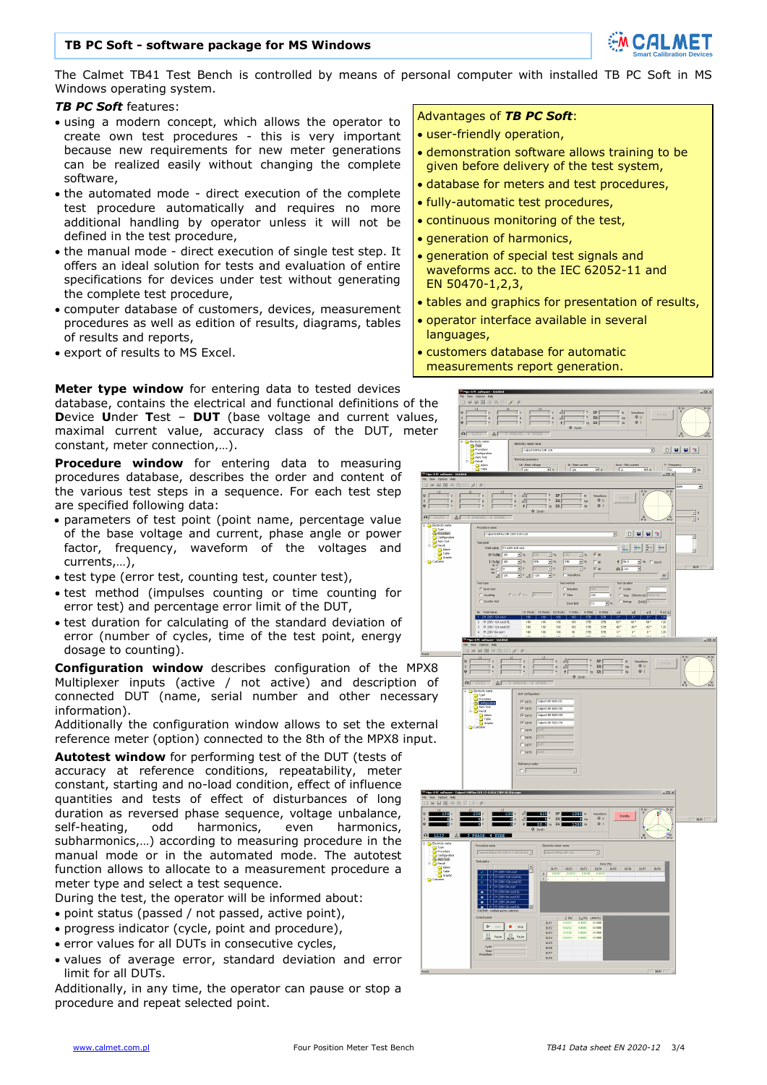#### **TB PC Soft - software package for MS Windows**



The Calmet TB41 Test Bench is controlled by means of personal computer with installed TB PC Soft in MS Windows operating system.

#### *TB PC Soft* features:

- using a modern concept, which allows the operator to create own test procedures - this is very important because new requirements for new meter generations can be realized easily without changing the complete software,
- the automated mode direct execution of the complete test procedure automatically and requires no more additional handling by operator unless it will not be defined in the test procedure,
- the manual mode direct execution of single test step. It offers an ideal solution for tests and evaluation of entire specifications for devices under test without generating the complete test procedure,
- computer database of customers, devices, measurement procedures as well as edition of results, diagrams, tables of results and reports,
- export of results to MS Excel.

**Meter type window** for entering data to tested devices database, contains the electrical and functional definitions of the **D**evice **U**nder **T**est – **DUT** (base voltage and current values, maximal current value, accuracy class of the DUT, meter constant, meter connection,…).

**Procedure window** for entering data to measuring procedures database, describes the order and content of the various test steps in a sequence. For each test step are specified following data:

- parameters of test point (point name, percentage value of the base voltage and current, phase angle or power factor, frequency, waveform of the voltages and currents,…),
- test type (error test, counting test, counter test),
- test method (impulses counting or time counting for error test) and percentage error limit of the DUT,
- test duration for calculating of the standard deviation of error (number of cycles, time of the test point, energy dosage to counting).

**Configuration window** describes configuration of the MPX8 Multiplexer inputs (active / not active) and description of connected DUT (name, serial number and other necessary information).

Additionally the configuration window allows to set the external reference meter (option) connected to the 8th of the MPX8 input.

**Autotest window** for performing test of the DUT (tests of accuracy at reference conditions, repeatability, meter constant, starting and no-load condition, effect of influence quantities and tests of effect of disturbances of long duration as reversed phase sequence, voltage unbalance, self-heating, odd harmonics, even harmonics, subharmonics,…) according to measuring procedure in the manual mode or in the automated mode. The autotest function allows to allocate to a measurement procedure a meter type and select a test sequence.

During the test, the operator will be informed about:

- point status (passed / not passed, active point),
- progress indicator (cycle, point and procedure),
- error values for all DUTs in consecutive cycles,
- values of average error, standard deviation and error limit for all DUTs.

Additionally, in any time, the operator can pause or stop a procedure and repeat selected point.

#### Advantages of *TB PC Soft*:

- user-friendly operation,
- demonstration software allows training to be given before delivery of the test system,
- database for meters and test procedures,
- fully-automatic test procedures,
- continuous monitoring of the test,
- generation of harmonics,
- generation of special test signals and waveforms acc. to the IEC 62052-11 and EN 50470-1,2,3,
- tables and graphics for presentation of results,
- operator interface available in several languages,
- customers database for automatic measurements report generation.